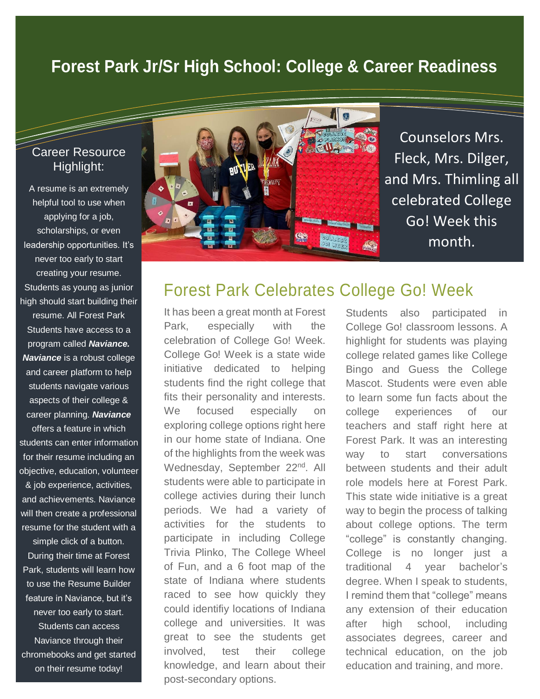## **Forest Park Jr/Sr High School: College & Career Readiness**

#### Career Resource Highlight:

A resume is an extremely helpful tool to use when applying for a job, scholarships, or even leadership opportunities. It's never too early to start creating your resume. Students as young as junior high should start building their resume. All Forest Park Students have access to a program called *Naviance. Naviance* is a robust college and career platform to help students navigate various aspects of their college & career planning. *Naviance* offers a feature in which students can enter information for their resume including an objective, education, volunteer & job experience, activities,

and achievements. Naviance will then create a professional resume for the student with a simple click of a button. During their time at Forest Park, students will learn how

to use the Resume Builder feature in Naviance, but it's never too early to start. Students can access Naviance through their chromebooks and get started on their resume today!



Counselors Mrs. Fleck, Mrs. Dilger, and Mrs. Thimling all celebrated College Go! Week this month.

## Forest Park Celebrates College Go! Week

It has been a great month at Forest Park, especially with the celebration of College Go! Week. College Go! Week is a state wide initiative dedicated to helping students find the right college that fits their personality and interests. We focused especially on exploring college options right here in our home state of Indiana. One of the highlights from the week was Wednesday, September 22<sup>nd</sup>. All students were able to participate in college activies during their lunch periods. We had a variety of activities for the students to participate in including College Trivia Plinko, The College Wheel of Fun, and a 6 foot map of the state of Indiana where students raced to see how quickly they could identifiy locations of Indiana college and universities. It was great to see the students get involved, test their college knowledge, and learn about their post-secondary options.

Students also participated in College Go! classroom lessons. A highlight for students was playing college related games like College Bingo and Guess the College Mascot. Students were even able to learn some fun facts about the college experiences of our teachers and staff right here at Forest Park. It was an interesting way to start conversations between students and their adult role models here at Forest Park. This state wide initiative is a great way to begin the process of talking about college options. The term "college" is constantly changing. College is no longer just a traditional 4 year bachelor's degree. When I speak to students, I remind them that "college" means any extension of their education after high school, including associates degrees, career and technical education, on the job education and training, and more.